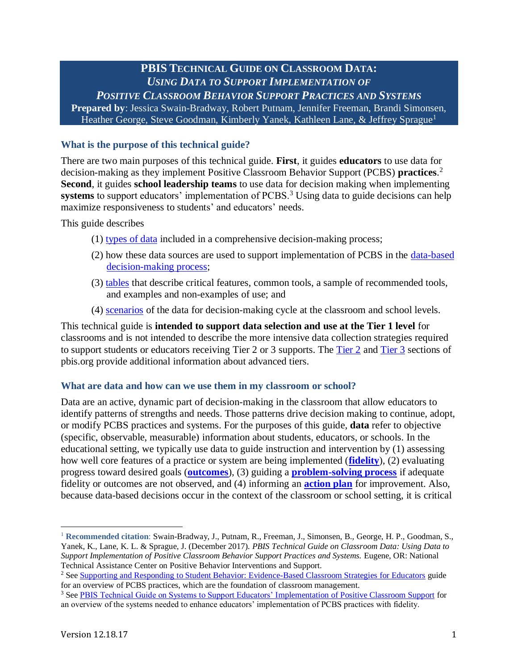# **PBIS TECHNICAL GUIDE ON CLASSROOM DATA:** *USING DATA TO SUPPORT IMPLEMENTATION OF*

*POSITIVE CLASSROOM BEHAVIOR SUPPORT PRACTICES AND SYSTEMS* **Prepared by**: Jessica Swain-Bradway, Robert Putnam, Jennifer Freeman, Brandi Simonsen, Heather George, Steve Goodman, Kimberly Yanek, Kathleen Lane, & Jeffrey Sprague<sup>1</sup>

## **What is the purpose of this technical guide?**

There are two main purposes of this technical guide. **First**, it guides **educators** to use data for decision-making as they implement Positive Classroom Behavior Support (PCBS) **practices**. 2 **Second**, it guides **school leadership teams** to use data for decision making when implementing systems to support educators' implementation of PCBS.<sup>3</sup> Using data to guide decisions can help maximize responsiveness to students' and educators' needs.

This guide describes

- (1) types of data included in a comprehensive decision-making process;
- (2) how these data sources are used to support implementation of PCBS in the [data-based](#page-4-0)  [decision-making process;](#page-4-0)
- (3) [tables](#page-5-0) that describe critical features, common tools, a sample of recommended tools, and examples and non-examples of use; and
- (4) [scenarios](#page-9-0) of the data for decision-making cycle at the classroom and school levels.

This technical guide is **intended to support data selection and use at the Tier 1 level** for classrooms and is not intended to describe the more intensive data collection strategies required to support students or educators receiving Tier 2 or 3 supports. The [Tier 2](http://www.pbis.org/school/tier2supports) and [Tier 3](http://www.pbis.org/school/tier-3-supports) sections of pbis.org provide additional information about advanced tiers.

#### **What are data and how can we use them in my classroom or school?**

Data are an active, dynamic part of decision-making in the classroom that allow educators to identify patterns of strengths and needs. Those patterns drive decision making to continue, adopt, or modify PCBS practices and systems. For the purposes of this guide, **data** refer to objective (specific, observable, measurable) information about students, educators, or schools. In the educational setting, we typically use data to guide instruction and intervention by (1) assessing how well core features of a practice or system are being implemented (**[fidelity](#page-5-0)**), (2) evaluating progress toward desired goals (**[outcomes](#page-6-0)**), (3) guiding a **[problem-solving](#page-4-0) process** if adequate fidelity or outcomes are not observed, and (4) informing an **[action plan](#page-8-0)** for improvement. Also, because data-based decisions occur in the context of the classroom or school setting, it is critical

 $\overline{a}$ 

<sup>1</sup> **Recommended citation**: Swain-Bradway, J., Putnam, R., Freeman, J., Simonsen, B., George, H. P., Goodman, S., Yanek, K., Lane, K. L. & Sprague, J. (December 2017). *PBIS Technical Guide on Classroom Data: Using Data to Support Implementation of Positive Classroom Behavior Support Practices and Systems.* Eugene, OR: National Technical Assistance Center on Positive Behavior Interventions and Support.

<sup>&</sup>lt;sup>2</sup> Se[e Supporting and Responding to Student Behavior: Evidence-Based Classroom Strategies for Educators](https://www.osepideasthatwork.org/sites/default/files/ClassroomPBIS_508.pdf) guide for an overview of PCBS practices, which are the foundation of classroom management.

<sup>&</sup>lt;sup>3</sup> See [PBIS Technical Guide on Systems to Support Educators' Implementation of Positive Classroom Support](http://www.pbis.org/Common/Cms/files/pbisresources/PBIS%20Technical%20Brief%20on%20Systems%20to%20Support%20Teachers%20Implementation%20of%20Positive%20Classroom%20Behavior%20Support.pdf) for an overview of the systems needed to enhance educators' implementation of PCBS practices with fidelity.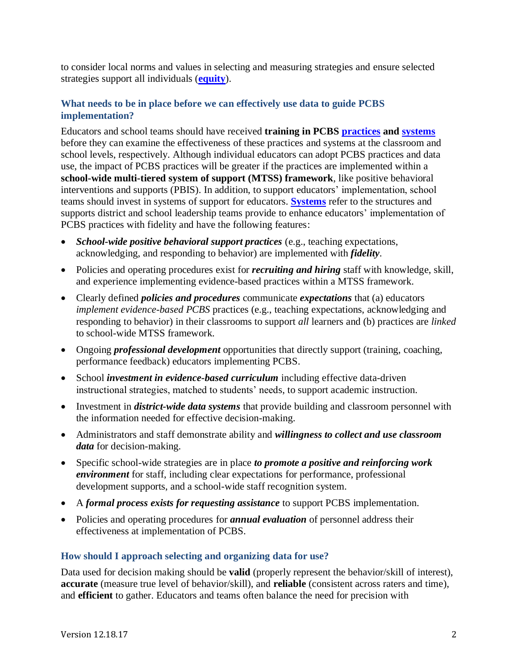to consider local norms and values in selecting and measuring strategies and ensure selected strategies support all individuals (**[equity](#page-7-0)**).

## **What needs to be in place before we can effectively use data to guide PCBS implementation?**

Educators and school teams should have received **training in PCBS [practices](https://www.osepideasthatwork.org/sites/default/files/ClassroomPBIS_508.pdf) and [systems](http://www.pbis.org/Common/Cms/files/pbisresources/PBIS%20Technical%20Brief%20on%20Systems%20to%20Support%20Teachers%20Implementation%20of%20Positive%20Classroom%20Behavior%20Support.pdf)** before they can examine the effectiveness of these practices and systems at the classroom and school levels, respectively. Although individual educators can adopt PCBS practices and data use, the impact of PCBS practices will be greater if the practices are implemented within a **school-wide multi-tiered system of support (MTSS) framework**, like positive behavioral interventions and supports (PBIS). In addition, to support educators' implementation, school teams should invest in systems of support for educators. **[Systems](https://www.pbis.org/school/pbis-in-the-classroom/systems-to-support)** refer to the structures and supports district and school leadership teams provide to enhance educators' implementation of PCBS practices with fidelity and have the following features:

- *School-wide positive behavioral support practices* (e.g., teaching expectations, acknowledging, and responding to behavior) are implemented with *fidelity*.
- Policies and operating procedures exist for *recruiting and hiring* staff with knowledge, skill, and experience implementing evidence-based practices within a MTSS framework.
- Clearly defined *policies and procedures* communicate *expectations* that (a) educators *implement evidence-based PCBS* practices (e.g., teaching expectations, acknowledging and responding to behavior) in their classrooms to support *all* learners and (b) practices are *linked* to school-wide MTSS framework.
- Ongoing *professional development* opportunities that directly support (training, coaching, performance feedback) educators implementing PCBS.
- School *investment in evidence-based curriculum* including effective data-driven instructional strategies, matched to students' needs, to support academic instruction.
- Investment in *district-wide data systems* that provide building and classroom personnel with the information needed for effective decision-making.
- Administrators and staff demonstrate ability and *willingness to collect and use classroom data* for decision-making.
- Specific school-wide strategies are in place *to promote a positive and reinforcing work environment* for staff, including clear expectations for performance, professional development supports, and a school-wide staff recognition system.
- A *formal process exists for requesting assistance* to support PCBS implementation.
- Policies and operating procedures for *annual evaluation* of personnel address their effectiveness at implementation of PCBS.

## **How should I approach selecting and organizing data for use?**

Data used for decision making should be **valid** (properly represent the behavior/skill of interest), **accurate** (measure true level of behavior/skill), and **reliable** (consistent across raters and time), and **efficient** to gather. Educators and teams often balance the need for precision with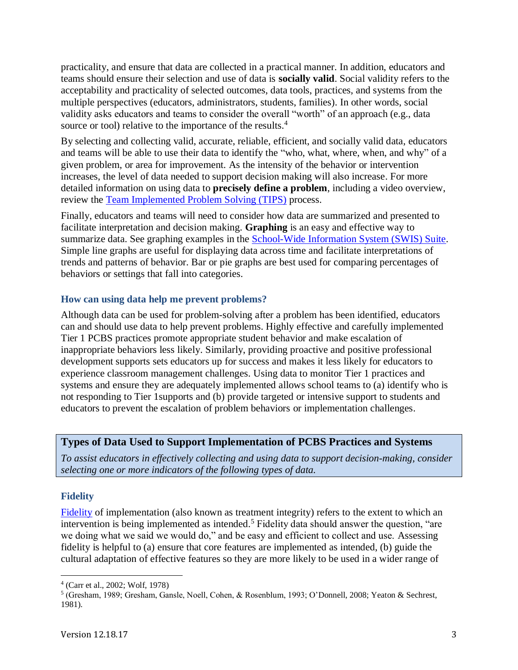practicality, and ensure that data are collected in a practical manner. In addition, educators and teams should ensure their selection and use of data is **socially valid**. Social validity refers to the acceptability and practicality of selected outcomes, data tools, practices, and systems from the multiple perspectives (educators, administrators, students, families). In other words, social validity asks educators and teams to consider the overall "worth" of an approach (e.g., data source or tool) relative to the importance of the results.<sup>4</sup>

By selecting and collecting valid, accurate, reliable, efficient, and socially valid data, educators and teams will be able to use their data to identify the "who, what, where, when, and why" of a given problem, or area for improvement. As the intensity of the behavior or intervention increases, the level of data needed to support decision making will also increase. For more detailed information on using data to **precisely define a problem**, including a video overview, review the [Team Implemented Problem Solving \(TIPS\)](https://www.pbis.org/training/tips) process.

Finally, educators and teams will need to consider how data are summarized and presented to facilitate interpretation and decision making. **Graphing** is an easy and effective way to summarize data. See graphing examples in the [School-Wide Information System \(SWIS\) Suite.](https://www.pbisapps.org/Applications/Pages/SWIS-Suite.aspx) Simple line graphs are useful for displaying data across time and facilitate interpretations of trends and patterns of behavior. Bar or pie graphs are best used for comparing percentages of behaviors or settings that fall into categories.

#### **How can using data help me prevent problems?**

Although data can be used for problem-solving after a problem has been identified, educators can and should use data to help prevent problems. Highly effective and carefully implemented Tier 1 PCBS practices promote appropriate student behavior and make escalation of inappropriate behaviors less likely. Similarly, providing proactive and positive professional development supports sets educators up for success and makes it less likely for educators to experience classroom management challenges. Using data to monitor Tier 1 practices and systems and ensure they are adequately implemented allows school teams to (a) identify who is not responding to Tier 1supports and (b) provide targeted or intensive support to students and educators to prevent the escalation of problem behaviors or implementation challenges.

#### **Types of Data Used to Support Implementation of PCBS Practices and Systems**

*To assist educators in effectively collecting and using data to support decision-making, consider selecting one or more indicators of the following types of data.*

#### **Fidelity**

 $\overline{a}$ 

Fidelity of implementation (also known as treatment integrity) refers to the extent to which an intervention is being implemented as intended. <sup>5</sup> Fidelity data should answer the question, "are we doing what we said we would do," and be easy and efficient to collect and use. Assessing fidelity is helpful to (a) ensure that core features are implemented as intended, (b) guide the cultural adaptation of effective features so they are more likely to be used in a wider range of

<sup>4</sup> (Carr et al., 2002; Wolf, 1978)

<sup>5</sup> (Gresham, 1989; Gresham, Gansle, Noell, Cohen, & Rosenblum, 1993; O'Donnell, 2008; Yeaton & Sechrest, 1981).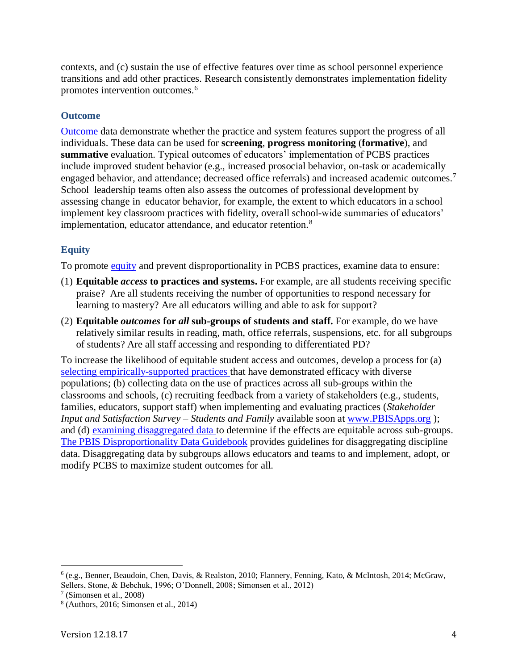contexts, and (c) sustain the use of effective features over time as school personnel experience transitions and add other practices. Research consistently demonstrates implementation fidelity promotes intervention outcomes.<sup>6</sup>

## **Outcome**

[Outcome](#page-7-0) data demonstrate whether the practice and system features support the progress of all individuals. These data can be used for **screening**, **progress monitoring** (**formative**), and **summative** evaluation. Typical outcomes of educators' implementation of PCBS practices include improved student behavior (e.g., increased prosocial behavior, on-task or academically engaged behavior, and attendance; decreased office referrals) and increased academic outcomes.<sup>7</sup> School leadership teams often also assess the outcomes of professional development by assessing change in educator behavior, for example, the extent to which educators in a school implement key classroom practices with fidelity, overall school-wide summaries of educators' implementation, educator attendance, and educator retention.<sup>8</sup>

## **Equity**

To promote [equity](#page-7-0) and prevent disproportionality in PCBS practices, examine data to ensure:

- (1) **Equitable** *access* **to practices and systems.** For example, are all students receiving specific praise? Are all students receiving the number of opportunities to respond necessary for learning to mastery? Are all educators willing and able to ask for support?
- (2) **Equitable** *outcomes* **for** *all* **sub-groups of students and staff.** For example, do we have relatively similar results in reading, math, office referrals, suspensions, etc. for all subgroups of students? Are all staff accessing and responding to differentiated PD?

To increase the likelihood of equitable student access and outcomes, develop a process for (a) [selecting empirically-supported practices t](http://www.pbis.org/Common/Cms/files/pbisresources/Engaging%20Instruction%20to%20Increase%20Equity%20in%20Education.pdf)hat have demonstrated efficacy with diverse populations; (b) collecting data on the use of practices across all sub-groups within the classrooms and schools, (c) recruiting feedback from a variety of stakeholders (e.g., students, families, educators, support staff) when implementing and evaluating practices (*Stakeholder Input and Satisfaction Survey – Students and Family available soon at [www.PBISApps.org](http://www.pbisapps.org/)*); and (d) [examining disaggregated data t](http://www.pbis.org/Common/Cms/files/pbisresources/PBIS_Disproportionality_Data_Guidebook.pdf)o determine if the effects are equitable across sub-groups. [The PBIS Disproportionality Data Guidebook](https://www.pbis.org/Common/Cms/files/pbisresources/PBIS_Disproportionality_Data_Guidebook.pdf) provides guidelines for disaggregating discipline data. Disaggregating data by subgroups allows educators and teams to and implement, adopt, or modify PCBS to maximize student outcomes for all.

 $\overline{a}$ 

<sup>6</sup> (e.g., Benner, Beaudoin, Chen, Davis, & Realston, 2010; Flannery, Fenning, Kato, & McIntosh, 2014; McGraw, Sellers, Stone, & Bebchuk, 1996; O'Donnell, 2008; Simonsen et al., 2012)

<sup>7</sup> (Simonsen et al., 2008)

<sup>8</sup> (Authors, 2016; Simonsen et al., 2014)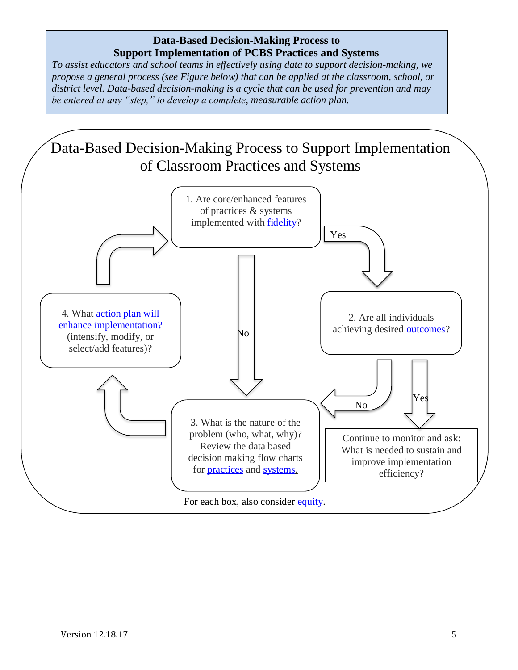# **Data-Based Decision-Making Process to Support Implementation of PCBS Practices and Systems**

<span id="page-4-0"></span>*To assist educators and school teams in effectively using data to support decision-making, we propose a general process (see Figure below) that can be applied at the classroom, school, or district level. Data-based decision-making is a cycle that can be used for prevention and may be entered at any "step," to develop a complete, measurable action plan.* 

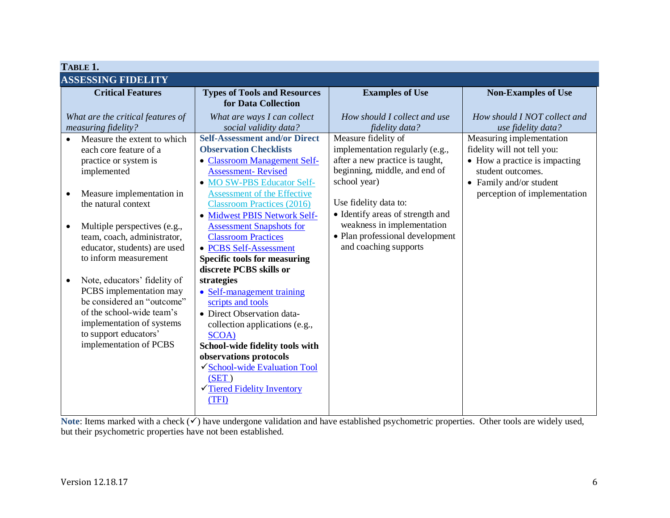<span id="page-5-1"></span><span id="page-5-0"></span>

| TABLE 1.                  |                                                       |                                         |                                  |                               |  |  |  |
|---------------------------|-------------------------------------------------------|-----------------------------------------|----------------------------------|-------------------------------|--|--|--|
| <b>ASSESSING FIDELITY</b> |                                                       |                                         |                                  |                               |  |  |  |
|                           | <b>Critical Features</b>                              | <b>Types of Tools and Resources</b>     | <b>Examples of Use</b>           | <b>Non-Examples of Use</b>    |  |  |  |
|                           |                                                       | for Data Collection                     |                                  |                               |  |  |  |
|                           | What are the critical features of                     | What are ways I can collect             | How should I collect and use     | How should I NOT collect and  |  |  |  |
|                           | measuring fidelity?                                   | social validity data?                   | fidelity data?                   | use fidelity data?            |  |  |  |
| $\bullet$                 | Measure the extent to which                           | <b>Self-Assessment and/or Direct</b>    | Measure fidelity of              | Measuring implementation      |  |  |  |
|                           | each core feature of a                                | <b>Observation Checklists</b>           | implementation regularly (e.g.,  | fidelity will not tell you:   |  |  |  |
|                           | practice or system is                                 | <b>Classroom Management Self-</b>       | after a new practice is taught,  | • How a practice is impacting |  |  |  |
|                           | implemented                                           | <b>Assessment-Revised</b>               | beginning, middle, and end of    | student outcomes.             |  |  |  |
|                           |                                                       | • MO SW-PBS Educator Self-              | school year)                     | • Family and/or student       |  |  |  |
| $\bullet$                 | Measure implementation in                             | <b>Assessment of the Effective</b>      |                                  | perception of implementation  |  |  |  |
|                           | the natural context                                   | <b>Classroom Practices (2016)</b>       | Use fidelity data to:            |                               |  |  |  |
|                           |                                                       | · Midwest PBIS Network Self-            | • Identify areas of strength and |                               |  |  |  |
| $\bullet$                 | Multiple perspectives (e.g.,                          | <b>Assessment Snapshots for</b>         | weakness in implementation       |                               |  |  |  |
|                           | team, coach, administrator,                           | <b>Classroom Practices</b>              | • Plan professional development  |                               |  |  |  |
|                           | educator, students) are used                          | • PCBS Self-Assessment                  | and coaching supports            |                               |  |  |  |
|                           | to inform measurement                                 | <b>Specific tools for measuring</b>     |                                  |                               |  |  |  |
|                           |                                                       | discrete PCBS skills or                 |                                  |                               |  |  |  |
| $\bullet$                 | Note, educators' fidelity of                          | strategies                              |                                  |                               |  |  |  |
|                           | PCBS implementation may<br>be considered an "outcome" | • Self-management training              |                                  |                               |  |  |  |
|                           | of the school-wide team's                             | scripts and tools                       |                                  |                               |  |  |  |
|                           | implementation of systems                             | • Direct Observation data-              |                                  |                               |  |  |  |
|                           | to support educators'                                 | collection applications (e.g.,<br>SCOA) |                                  |                               |  |  |  |
|                           | implementation of PCBS                                | School-wide fidelity tools with         |                                  |                               |  |  |  |
|                           |                                                       | observations protocols                  |                                  |                               |  |  |  |
|                           |                                                       | √ School-wide Evaluation Tool           |                                  |                               |  |  |  |
|                           |                                                       | (SET)                                   |                                  |                               |  |  |  |
|                           |                                                       | Tiered Fidelity Inventory               |                                  |                               |  |  |  |
|                           |                                                       | (TFI)                                   |                                  |                               |  |  |  |
|                           |                                                       |                                         |                                  |                               |  |  |  |

Note: Items marked with a check (✓) have undergone validation and have established psychometric properties. Other tools are widely used, but their psychometric properties have not been established.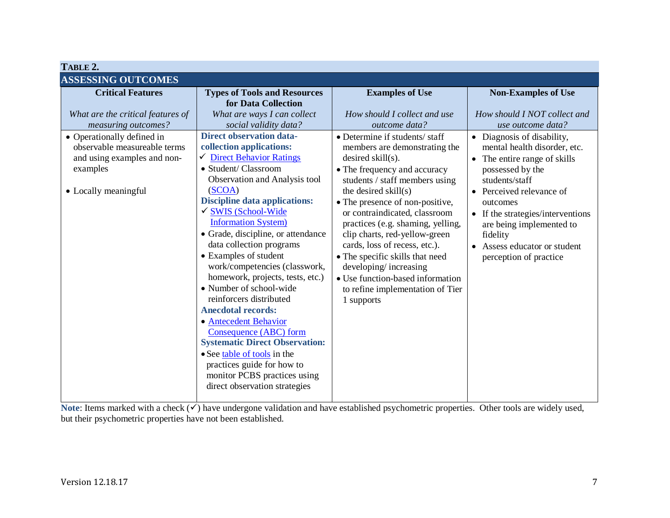<span id="page-6-1"></span><span id="page-6-0"></span>

Note: Items marked with a check (√) have undergone validation and have established psychometric properties. Other tools are widely used, but their psychometric properties have not been established.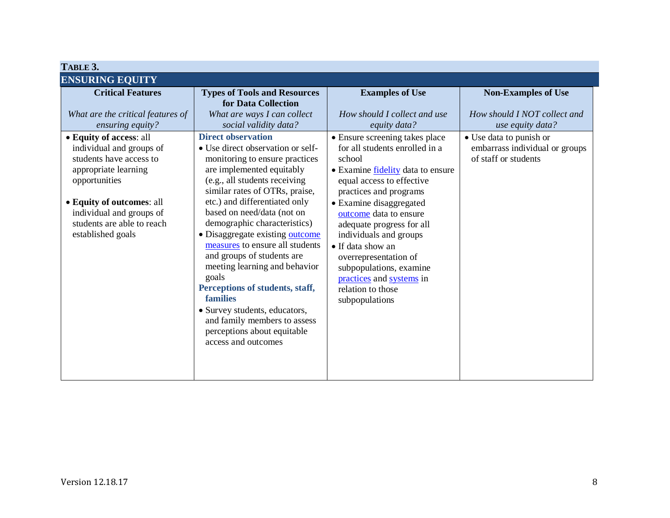<span id="page-7-0"></span>

| TABLE 3.                                                                                                                                                                                                 |                                                                                                                                                                                                                                                                                                                                                                                                                                                                                                                                                                                        |                                                                                                                                                                                                                                                                                                                                                                                                     |                                                                                                           |  |  |  |
|----------------------------------------------------------------------------------------------------------------------------------------------------------------------------------------------------------|----------------------------------------------------------------------------------------------------------------------------------------------------------------------------------------------------------------------------------------------------------------------------------------------------------------------------------------------------------------------------------------------------------------------------------------------------------------------------------------------------------------------------------------------------------------------------------------|-----------------------------------------------------------------------------------------------------------------------------------------------------------------------------------------------------------------------------------------------------------------------------------------------------------------------------------------------------------------------------------------------------|-----------------------------------------------------------------------------------------------------------|--|--|--|
| <b>ENSURING EQUITY</b>                                                                                                                                                                                   |                                                                                                                                                                                                                                                                                                                                                                                                                                                                                                                                                                                        |                                                                                                                                                                                                                                                                                                                                                                                                     |                                                                                                           |  |  |  |
| <b>Critical Features</b><br>What are the critical features of<br>ensuring equity?<br>• Equity of access: all                                                                                             | <b>Types of Tools and Resources</b><br>for Data Collection<br>What are ways I can collect<br>social validity data?<br><b>Direct observation</b>                                                                                                                                                                                                                                                                                                                                                                                                                                        | <b>Examples of Use</b><br>How should I collect and use<br>equity data?<br>• Ensure screening takes place                                                                                                                                                                                                                                                                                            | <b>Non-Examples of Use</b><br>How should I NOT collect and<br>use equity data?<br>• Use data to punish or |  |  |  |
| individual and groups of<br>students have access to<br>appropriate learning<br>opportunities<br>• Equity of outcomes: all<br>individual and groups of<br>students are able to reach<br>established goals | • Use direct observation or self-<br>monitoring to ensure practices<br>are implemented equitably<br>(e.g., all students receiving<br>similar rates of OTRs, praise,<br>etc.) and differentiated only<br>based on need/data (not on<br>demographic characteristics)<br>· Disaggregate existing outcome<br>measures to ensure all students<br>and groups of students are<br>meeting learning and behavior<br>goals<br>Perceptions of students, staff,<br>families<br>• Survey students, educators,<br>and family members to assess<br>perceptions about equitable<br>access and outcomes | for all students enrolled in a<br>school<br>• Examine <u>fidelity</u> data to ensure<br>equal access to effective<br>practices and programs<br>• Examine disaggregated<br>outcome data to ensure<br>adequate progress for all<br>individuals and groups<br>• If data show an<br>overrepresentation of<br>subpopulations, examine<br>practices and systems in<br>relation to those<br>subpopulations | embarrass individual or groups<br>of staff or students                                                    |  |  |  |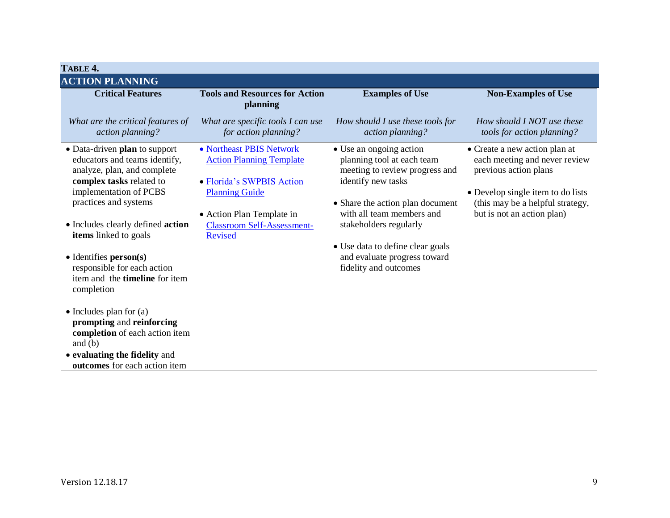<span id="page-8-0"></span>

| TABLE 4.                                                                                                                                                                                                                                                                                                                                                                                                                                                                                                   |                                                                                                                                                                                                |                                                                                                                                                                                                                                                                                                       |                                                                                                                                                                                                |  |  |  |
|------------------------------------------------------------------------------------------------------------------------------------------------------------------------------------------------------------------------------------------------------------------------------------------------------------------------------------------------------------------------------------------------------------------------------------------------------------------------------------------------------------|------------------------------------------------------------------------------------------------------------------------------------------------------------------------------------------------|-------------------------------------------------------------------------------------------------------------------------------------------------------------------------------------------------------------------------------------------------------------------------------------------------------|------------------------------------------------------------------------------------------------------------------------------------------------------------------------------------------------|--|--|--|
| <b>ACTION PLANNING</b>                                                                                                                                                                                                                                                                                                                                                                                                                                                                                     |                                                                                                                                                                                                |                                                                                                                                                                                                                                                                                                       |                                                                                                                                                                                                |  |  |  |
| <b>Critical Features</b><br>What are the critical features of<br>action planning?                                                                                                                                                                                                                                                                                                                                                                                                                          | <b>Tools and Resources for Action</b><br>planning<br>What are specific tools I can use<br>for action planning?                                                                                 | <b>Examples of Use</b><br>How should I use these tools for<br>action planning?                                                                                                                                                                                                                        | <b>Non-Examples of Use</b><br>How should I NOT use these<br>tools for action planning?                                                                                                         |  |  |  |
| • Data-driven plan to support<br>educators and teams identify,<br>analyze, plan, and complete<br>complex tasks related to<br>implementation of PCBS<br>practices and systems<br>• Includes clearly defined action<br>items linked to goals<br>• Identifies person(s)<br>responsible for each action<br>item and the <b>timeline</b> for item<br>completion<br>$\bullet$ Includes plan for (a)<br>prompting and reinforcing<br>completion of each action item<br>and $(b)$<br>• evaluating the fidelity and | • Northeast PBIS Network<br><b>Action Planning Template</b><br>• Florida's SWPBIS Action<br><b>Planning Guide</b><br>• Action Plan Template in<br><b>Classroom Self-Assessment-</b><br>Revised | • Use an ongoing action<br>planning tool at each team<br>meeting to review progress and<br>identify new tasks<br>• Share the action plan document<br>with all team members and<br>stakeholders regularly<br>• Use data to define clear goals<br>and evaluate progress toward<br>fidelity and outcomes | • Create a new action plan at<br>each meeting and never review<br>previous action plans<br>• Develop single item to do lists<br>(this may be a helpful strategy,<br>but is not an action plan) |  |  |  |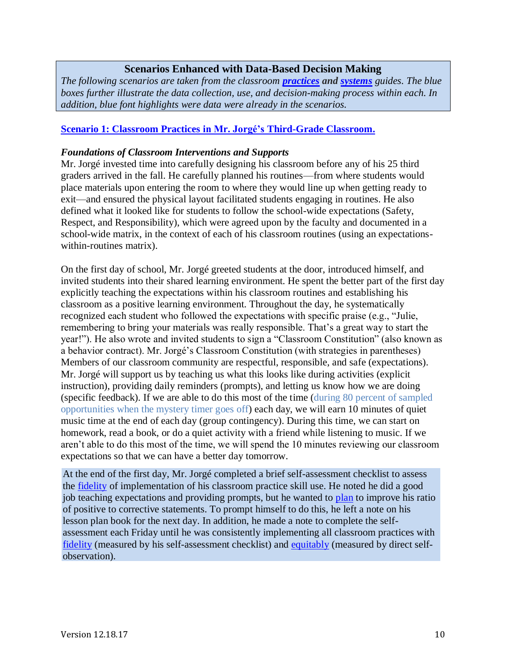## **Scenarios Enhanced with Data-Based Decision Making**

<span id="page-9-0"></span>*The following scenarios are taken from the classroom [practices](http://www.pbis.org/school/pbis-in-the-classroom) and [systems](http://www.pbis.org/resource/1117/pbis-technical-brief-on-systems-to-support-teachers-implementation-of-positive-classroom-behavior-support) guides. The blue boxes further illustrate the data collection, use, and decision-making process within each. In addition, blue font highlights were data were already in the scenarios.*

#### **[Scenario 1: Classroom Practices](http://www.pbis.org/common/cms/files/pbisresources/Supporting%20and%20Responding%20to%20Behavior.pdf) in Mr. Jorgé's Third-Grade Classroom.**

#### *Foundations of Classroom Interventions and Supports*

Mr. Jorgé invested time into carefully designing his classroom before any of his 25 third graders arrived in the fall. He carefully planned his routines—from where students would place materials upon entering the room to where they would line up when getting ready to exit—and ensured the physical layout facilitated students engaging in routines. He also defined what it looked like for students to follow the school-wide expectations (Safety, Respect, and Responsibility), which were agreed upon by the faculty and documented in a school-wide matrix, in the context of each of his classroom routines (using an expectationswithin-routines matrix).

On the first day of school, Mr. Jorgé greeted students at the door, introduced himself, and invited students into their shared learning environment. He spent the better part of the first day explicitly teaching the expectations within his classroom routines and establishing his classroom as a positive learning environment. Throughout the day, he systematically recognized each student who followed the expectations with specific praise (e.g., "Julie, remembering to bring your materials was really responsible. That's a great way to start the year!"). He also wrote and invited students to sign a "Classroom Constitution" (also known as a behavior contract). Mr. Jorgé's Classroom Constitution (with strategies in parentheses) Members of our classroom community are respectful, responsible, and safe (expectations). Mr. Jorgé will support us by teaching us what this looks like during activities (explicit instruction), providing daily reminders (prompts), and letting us know how we are doing (specific feedback). If we are able to do this most of the time (during 80 percent of sampled opportunities when the mystery timer goes off) each day, we will earn 10 minutes of quiet music time at the end of each day (group contingency). During this time, we can start on homework, read a book, or do a quiet activity with a friend while listening to music. If we aren't able to do this most of the time, we will spend the 10 minutes reviewing our classroom expectations so that we can have a better day tomorrow.

At the end of the first day, Mr. Jorgé completed a brief self-assessment checklist to assess the [fidelity](#page-5-0) of implementation of his classroom practice skill use. He noted he did a good job teaching expectations and providing prompts, but he wanted to [plan](#page-8-0) to improve his ratio of positive to corrective statements. To prompt himself to do this, he left a note on his lesson plan book for the next day. In addition, he made a note to complete the selfassessment each Friday until he was consistently implementing all classroom practices with [fidelity](#page-5-0) (measured by his self-assessment checklist) and [equitably](#page-7-0) (measured by direct selfobservation).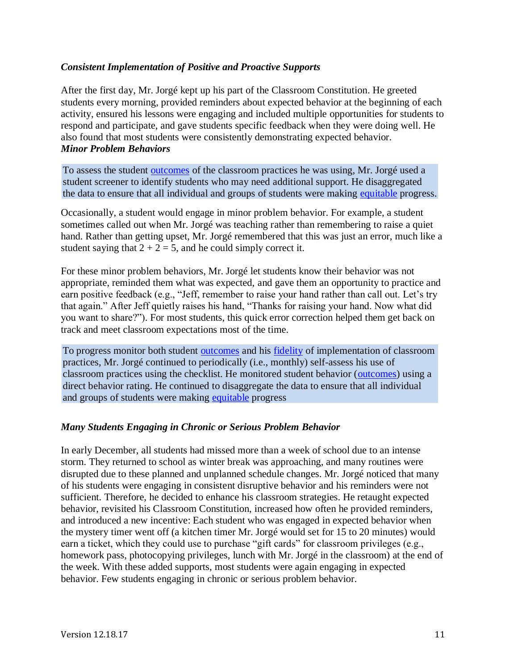### *Consistent Implementation of Positive and Proactive Supports*

After the first day, Mr. Jorgé kept up his part of the Classroom Constitution. He greeted students every morning, provided reminders about expected behavior at the beginning of each activity, ensured his lessons were engaging and included multiple opportunities for students to respond and participate, and gave students specific feedback when they were doing well. He also found that most students were consistently demonstrating expected behavior. *Minor Problem Behaviors*

To assess the student [outcomes](#page-6-0) of the classroom practices he was using, Mr. Jorgé used a student screener to identify students who may need additional support. He disaggregated the data to ensure that all individual and groups of students were making [equitable](#page-7-0) progress.

Occasionally, a student would engage in minor problem behavior. For example, a student sometimes called out when Mr. Jorgé was teaching rather than remembering to raise a quiet hand. Rather than getting upset, Mr. Jorgé remembered that this was just an error, much like a student saying that  $2 + 2 = 5$ , and he could simply correct it.

For these minor problem behaviors, Mr. Jorgé let students know their behavior was not appropriate, reminded them what was expected, and gave them an opportunity to practice and earn positive feedback (e.g., "Jeff, remember to raise your hand rather than call out. Let's try that again." After Jeff quietly raises his hand, "Thanks for raising your hand. Now what did you want to share?"). For most students, this quick error correction helped them get back on track and meet classroom expectations most of the time.

To progress monitor both student [outcomes](#page-6-0) and his [fidelity](#page-5-0) of implementation of classroom practices, Mr. Jorgé continued to periodically (i.e., monthly) self-assess his use of classroom practices using the checklist. He monitored student behavior [\(outcomes\)](#page-6-0) using a direct behavior rating. He continued to disaggregate the data to ensure that all individual and groups of students were making [equitable](#page-7-0) progress

#### *Many Students Engaging in Chronic or Serious Problem Behavior*

In early December, all students had missed more than a week of school due to an intense storm. They returned to school as winter break was approaching, and many routines were disrupted due to these planned and unplanned schedule changes. Mr. Jorgé noticed that many of his students were engaging in consistent disruptive behavior and his reminders were not sufficient. Therefore, he decided to enhance his classroom strategies. He retaught expected behavior, revisited his Classroom Constitution, increased how often he provided reminders, and introduced a new incentive: Each student who was engaged in expected behavior when the mystery timer went off (a kitchen timer Mr. Jorgé would set for 15 to 20 minutes) would earn a ticket, which they could use to purchase "gift cards" for classroom privileges (e.g., homework pass, photocopying privileges, lunch with Mr. Jorgé in the classroom) at the end of the week. With these added supports, most students were again engaging in expected behavior. Few students engaging in chronic or serious problem behavior.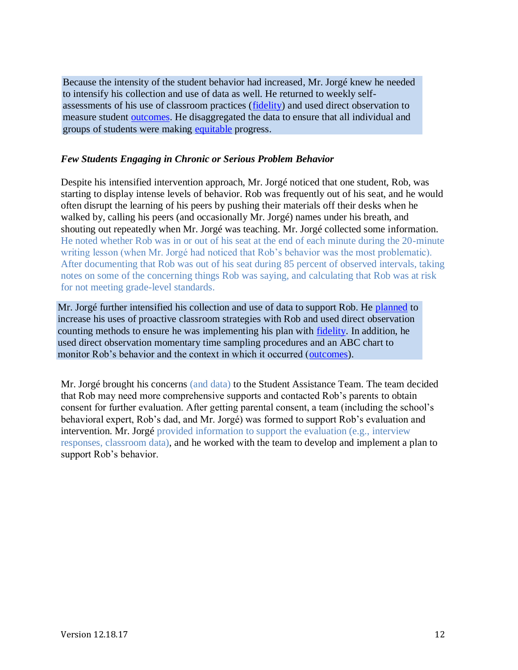Because the intensity of the student behavior had increased, Mr. Jorgé knew he needed to intensify his collection and use of data as well. He returned to weekly selfassessments of his use of classroom practices [\(fidelity\)](#page-5-0) and used direct observation to measure student [outcomes.](#page-6-0) He disaggregated the data to ensure that all individual and groups of students were making [equitable](#page-7-0) progress.

### *Few Students Engaging in Chronic or Serious Problem Behavior*

Despite his intensified intervention approach, Mr. Jorgé noticed that one student, Rob, was starting to display intense levels of behavior. Rob was frequently out of his seat, and he would often disrupt the learning of his peers by pushing their materials off their desks when he walked by, calling his peers (and occasionally Mr. Jorgé) names under his breath, and shouting out repeatedly when Mr. Jorgé was teaching. Mr. Jorgé collected some information. He noted whether Rob was in or out of his seat at the end of each minute during the 20-minute writing lesson (when Mr. Jorgé had noticed that Rob's behavior was the most problematic). After documenting that Rob was out of his seat during 85 percent of observed intervals, taking notes on some of the concerning things Rob was saying, and calculating that Rob was at risk for not meeting grade-level standards.

Mr. Jorgé further intensified his collection and use of data to support Rob. He [planned](#page-8-0) to increase his uses of proactive classroom strategies with Rob and used direct observation counting methods to ensure he was implementing his plan with [fidelity.](#page-5-0) In addition, he used direct observation momentary time sampling procedures and an ABC chart to monitor Rob's behavior and the context in which it occurred [\(outcomes\)](#page-6-0).

Mr. Jorgé brought his concerns (and data) to the Student Assistance Team. The team decided that Rob may need more comprehensive supports and contacted Rob's parents to obtain consent for further evaluation. After getting parental consent, a team (including the school's behavioral expert, Rob's dad, and Mr. Jorgé) was formed to support Rob's evaluation and intervention. Mr. Jorgé provided information to support the evaluation (e.g., interview responses, classroom data), and he worked with the team to develop and implement a plan to support Rob's behavior.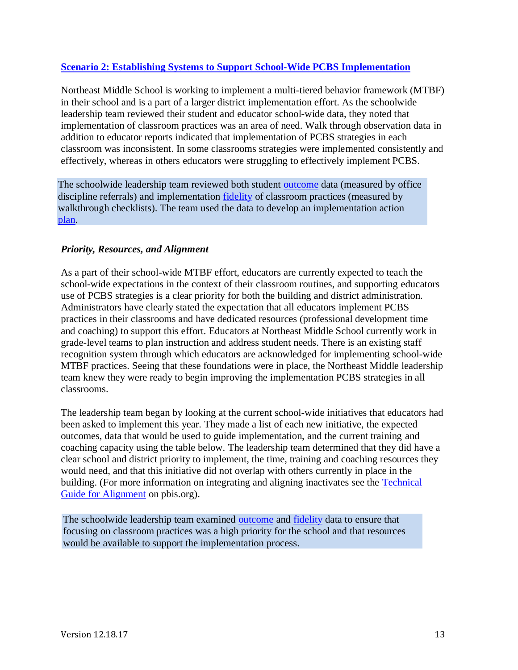## **[Scenario 2: Establishing Systems to Support School-Wide PCBS](http://www.pbis.org/Common/Cms/files/pbisresources/PBIS%20Technical%20Brief%20on%20Systems%20to%20Support%20Teachers%20Implementation%20of%20Positive%20Classroom%20Behavior%20Support.pdf) Implementation**

Northeast Middle School is working to implement a multi-tiered behavior framework (MTBF) in their school and is a part of a larger district implementation effort. As the schoolwide leadership team reviewed their student and educator school-wide data, they noted that implementation of classroom practices was an area of need. Walk through observation data in addition to educator reports indicated that implementation of PCBS strategies in each classroom was inconsistent. In some classrooms strategies were implemented consistently and effectively, whereas in others educators were struggling to effectively implement PCBS.

The schoolwide leadership team reviewed both student **outcome** data (measured by office discipline referrals) and implementation [fidelity](#page-5-0) of classroom practices (measured by walkthrough checklists). The team used the data to develop an implementation action [plan.](#page-8-0)

## *Priority, Resources, and Alignment*

As a part of their school-wide MTBF effort, educators are currently expected to teach the school-wide expectations in the context of their classroom routines, and supporting educators use of PCBS strategies is a clear priority for both the building and district administration. Administrators have clearly stated the expectation that all educators implement PCBS practices in their classrooms and have dedicated resources (professional development time and coaching) to support this effort. Educators at Northeast Middle School currently work in grade-level teams to plan instruction and address student needs. There is an existing staff recognition system through which educators are acknowledged for implementing school-wide MTBF practices. Seeing that these foundations were in place, the Northeast Middle leadership team knew they were ready to begin improving the implementation PCBS strategies in all classrooms.

The leadership team began by looking at the current school-wide initiatives that educators had been asked to implement this year. They made a list of each new initiative, the expected outcomes, data that would be used to guide implementation, and the current training and coaching capacity using the table below. The leadership team determined that they did have a clear school and district priority to implement, the time, training and coaching resources they would need, and that this initiative did not overlap with others currently in place in the building. (For more information on integrating and aligning inactivates see the [Technical](https://www.google.com/url?q=https://www.pbis.org/Common/Cms/files/pbisresources/Alignment%2520Brief.%2520for%2520posting.1.16.17.docx&sa=U&ved=0ahUKEwiOlofMsbvVAhVR1mMKHZK9DDAQFggEMAA&client=internal-uds-cse&usg=AFQjCNEOWyUwbk9biGboVXcCXZH-qJR2mw)  [Guide for Alignment](https://www.google.com/url?q=https://www.pbis.org/Common/Cms/files/pbisresources/Alignment%2520Brief.%2520for%2520posting.1.16.17.docx&sa=U&ved=0ahUKEwiOlofMsbvVAhVR1mMKHZK9DDAQFggEMAA&client=internal-uds-cse&usg=AFQjCNEOWyUwbk9biGboVXcCXZH-qJR2mw) on pbis.org).

The schoolwide leadership team examined [outcome](#page-6-0) and [fidelity](#page-5-0) data to ensure that focusing on classroom practices was a high priority for the school and that resources would be available to support the implementation process.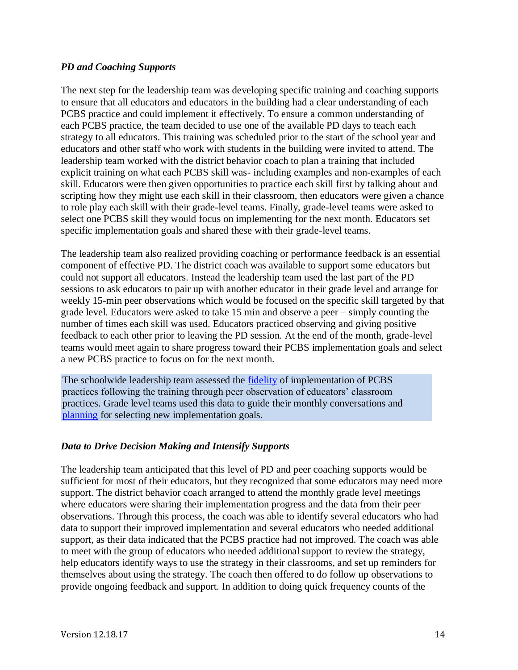## *PD and Coaching Supports*

The next step for the leadership team was developing specific training and coaching supports to ensure that all educators and educators in the building had a clear understanding of each PCBS practice and could implement it effectively. To ensure a common understanding of each PCBS practice, the team decided to use one of the available PD days to teach each strategy to all educators. This training was scheduled prior to the start of the school year and educators and other staff who work with students in the building were invited to attend. The leadership team worked with the district behavior coach to plan a training that included explicit training on what each PCBS skill was- including examples and non-examples of each skill. Educators were then given opportunities to practice each skill first by talking about and scripting how they might use each skill in their classroom, then educators were given a chance to role play each skill with their grade-level teams. Finally, grade-level teams were asked to select one PCBS skill they would focus on implementing for the next month. Educators set specific implementation goals and shared these with their grade-level teams.

The leadership team also realized providing coaching or performance feedback is an essential component of effective PD. The district coach was available to support some educators but could not support all educators. Instead the leadership team used the last part of the PD sessions to ask educators to pair up with another educator in their grade level and arrange for weekly 15-min peer observations which would be focused on the specific skill targeted by that grade level. Educators were asked to take 15 min and observe a peer – simply counting the number of times each skill was used. Educators practiced observing and giving positive feedback to each other prior to leaving the PD session. At the end of the month, grade-level teams would meet again to share progress toward their PCBS implementation goals and select a new PCBS practice to focus on for the next month.

The schoolwide leadership team assessed the **fidelity** of implementation of PCBS practices following the training through peer observation of educators' classroom practices. Grade level teams used this data to guide their monthly conversations and [planning](#page-8-0) for selecting new implementation goals.

## *Data to Drive Decision Making and Intensify Supports*

The leadership team anticipated that this level of PD and peer coaching supports would be sufficient for most of their educators, but they recognized that some educators may need more support. The district behavior coach arranged to attend the monthly grade level meetings where educators were sharing their implementation progress and the data from their peer observations. Through this process, the coach was able to identify several educators who had data to support their improved implementation and several educators who needed additional support, as their data indicated that the PCBS practice had not improved. The coach was able to meet with the group of educators who needed additional support to review the strategy, help educators identify ways to use the strategy in their classrooms, and set up reminders for themselves about using the strategy. The coach then offered to do follow up observations to provide ongoing feedback and support. In addition to doing quick frequency counts of the